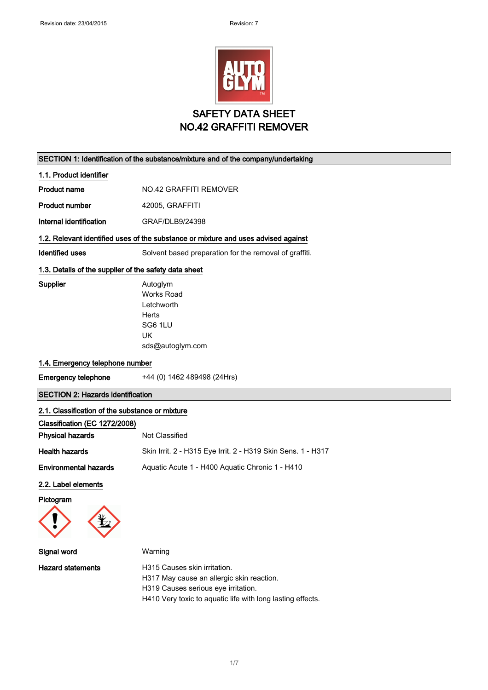

### SECTION 1: Identification of the substance/mixture and of the company/undertaking

1.1. Product identifier

Product name  $NO.42$  GRAFFITI REMOVER

Product number 42005, GRAFFITI

Internal identification GRAF/DLB9/24398

### 1.2. Relevant identified uses of the substance or mixture and uses advised against

Identified uses Solvent based preparation for the removal of graffiti.

### 1.3. Details of the supplier of the safety data sheet

Supplier **Autoglym** Works Road Letchworth Herts SG6 1LU UK sds@autoglym.com

### 1.4. Emergency telephone number

Emergency telephone +44 (0) 1462 489498 (24Hrs)

# SECTION 2: Hazards identification

### 2.1. Classification of the substance or mixture

| Classification (EC 1272/2008) |                                                              |
|-------------------------------|--------------------------------------------------------------|
| <b>Physical hazards</b>       | Not Classified                                               |
| <b>Health hazards</b>         | Skin Irrit. 2 - H315 Eye Irrit. 2 - H319 Skin Sens. 1 - H317 |
| <b>Environmental hazards</b>  | Aquatic Acute 1 - H400 Aquatic Chronic 1 - H410              |

#### 2.2. Label elements

Pictogram



| Signal word       | Warning                                                    |
|-------------------|------------------------------------------------------------|
| Hazard statements | H315 Causes skin irritation.                               |
|                   | H317 May cause an allergic skin reaction.                  |
|                   | H319 Causes serious eye irritation.                        |
|                   | H410 Very toxic to aquatic life with long lasting effects. |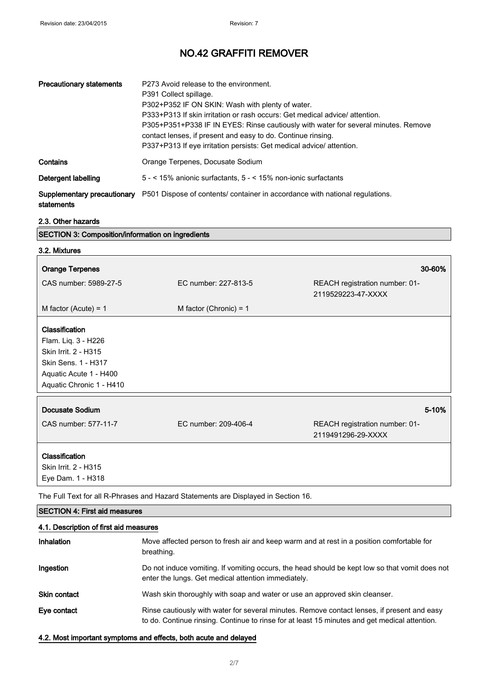| <b>Precautionary statements</b>           | P273 Avoid release to the environment.<br>P391 Collect spillage.<br>P302+P352 IF ON SKIN: Wash with plenty of water.<br>P333+P313 If skin irritation or rash occurs: Get medical advice/attention.<br>P305+P351+P338 IF IN EYES: Rinse cautiously with water for several minutes. Remove<br>contact lenses, if present and easy to do. Continue rinsing.<br>P337+P313 If eye irritation persists: Get medical advice/ attention. |
|-------------------------------------------|----------------------------------------------------------------------------------------------------------------------------------------------------------------------------------------------------------------------------------------------------------------------------------------------------------------------------------------------------------------------------------------------------------------------------------|
| Contains                                  | Orange Terpenes, Docusate Sodium                                                                                                                                                                                                                                                                                                                                                                                                 |
| Detergent labelling                       | $5 - 5 < 15\%$ anionic surfactants, $5 - 5 < 15\%$ non-ionic surfactants                                                                                                                                                                                                                                                                                                                                                         |
| Supplementary precautionary<br>statements | P501 Dispose of contents/ container in accordance with national regulations.                                                                                                                                                                                                                                                                                                                                                     |

# $\frac{2.3. \text{ Other hazards}}{\text{SECTION 3: Comp}}$

| <b>SECTION 3: Composition/information on ingredients</b>                                                                                   |                          |                                                      |
|--------------------------------------------------------------------------------------------------------------------------------------------|--------------------------|------------------------------------------------------|
| 3.2. Mixtures                                                                                                                              |                          |                                                      |
| <b>Orange Terpenes</b>                                                                                                                     |                          | 30-60%                                               |
| CAS number: 5989-27-5                                                                                                                      | EC number: 227-813-5     | REACH registration number: 01-<br>2119529223-47-XXXX |
| M factor (Acute) = $1$                                                                                                                     | M factor (Chronic) = $1$ |                                                      |
| Classification<br>Flam. Liq. 3 - H226<br>Skin Irrit. 2 - H315<br>Skin Sens. 1 - H317<br>Aquatic Acute 1 - H400<br>Aquatic Chronic 1 - H410 |                          |                                                      |
| Docusate Sodium                                                                                                                            |                          | 5-10%                                                |
| CAS number: 577-11-7                                                                                                                       | EC number: 209-406-4     | REACH registration number: 01-<br>2119491296-29-XXXX |
| Classification<br>Skin Irrit. 2 - H315<br>Eye Dam. 1 - H318                                                                                |                          |                                                      |

The Full Text for all R-Phrases and Hazard Statements are Displayed in Section 16.

| <b>SECTION 4: First aid measures</b><br>4.1. Description of first aid measures |                                                                                                                                                                                              |
|--------------------------------------------------------------------------------|----------------------------------------------------------------------------------------------------------------------------------------------------------------------------------------------|
|                                                                                |                                                                                                                                                                                              |
| Ingestion                                                                      | Do not induce vomiting. If vomiting occurs, the head should be kept low so that vomit does not<br>enter the lungs. Get medical attention immediately.                                        |
| <b>Skin contact</b>                                                            | Wash skin thoroughly with soap and water or use an approved skin cleanser.                                                                                                                   |
| Eye contact                                                                    | Rinse cautiously with water for several minutes. Remove contact lenses, if present and easy<br>to do. Continue rinsing. Continue to rinse for at least 15 minutes and get medical attention. |

## 4.2. Most important symptoms and effects, both acute and delayed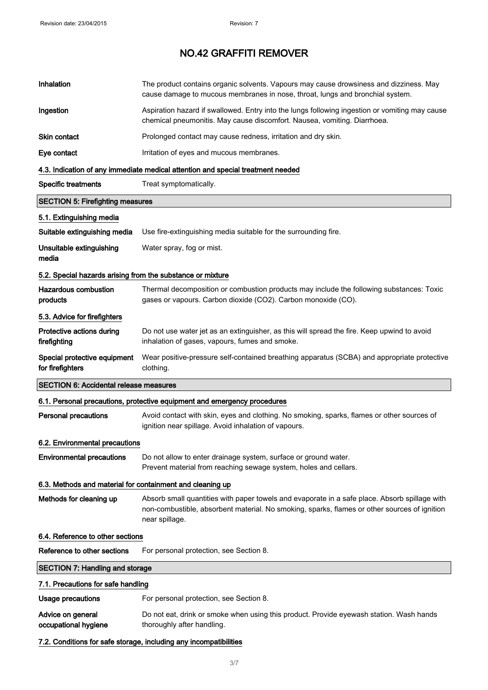| Inhalation                                                 | The product contains organic solvents. Vapours may cause drowsiness and dizziness. May<br>cause damage to mucous membranes in nose, throat, lungs and bronchial system.                                         |
|------------------------------------------------------------|-----------------------------------------------------------------------------------------------------------------------------------------------------------------------------------------------------------------|
| Ingestion                                                  | Aspiration hazard if swallowed. Entry into the lungs following ingestion or vomiting may cause<br>chemical pneumonitis. May cause discomfort. Nausea, vomiting. Diarrhoea.                                      |
| <b>Skin contact</b>                                        | Prolonged contact may cause redness, irritation and dry skin.                                                                                                                                                   |
| Eye contact                                                | Irritation of eyes and mucous membranes.                                                                                                                                                                        |
|                                                            | 4.3. Indication of any immediate medical attention and special treatment needed                                                                                                                                 |
| <b>Specific treatments</b>                                 | Treat symptomatically.                                                                                                                                                                                          |
| <b>SECTION 5: Firefighting measures</b>                    |                                                                                                                                                                                                                 |
| 5.1. Extinguishing media                                   |                                                                                                                                                                                                                 |
| Suitable extinguishing media                               | Use fire-extinguishing media suitable for the surrounding fire.                                                                                                                                                 |
| Unsuitable extinguishing<br>media                          | Water spray, fog or mist.                                                                                                                                                                                       |
| 5.2. Special hazards arising from the substance or mixture |                                                                                                                                                                                                                 |
| <b>Hazardous combustion</b><br>products                    | Thermal decomposition or combustion products may include the following substances: Toxic<br>gases or vapours. Carbon dioxide (CO2). Carbon monoxide (CO).                                                       |
| 5.3. Advice for firefighters                               |                                                                                                                                                                                                                 |
| Protective actions during<br>firefighting                  | Do not use water jet as an extinguisher, as this will spread the fire. Keep upwind to avoid<br>inhalation of gases, vapours, fumes and smoke.                                                                   |
| Special protective equipment<br>for firefighters           | Wear positive-pressure self-contained breathing apparatus (SCBA) and appropriate protective<br>clothing.                                                                                                        |
| <b>SECTION 6: Accidental release measures</b>              |                                                                                                                                                                                                                 |
|                                                            | 6.1. Personal precautions, protective equipment and emergency procedures                                                                                                                                        |
| <b>Personal precautions</b>                                | Avoid contact with skin, eyes and clothing. No smoking, sparks, flames or other sources of<br>ignition near spillage. Avoid inhalation of vapours.                                                              |
| 6.2. Environmental precautions                             |                                                                                                                                                                                                                 |
| <b>Environmental precautions</b>                           | Do not allow to enter drainage system, surface or ground water.<br>Prevent material from reaching sewage system, holes and cellars.                                                                             |
| 6.3. Methods and material for containment and cleaning up  |                                                                                                                                                                                                                 |
| Methods for cleaning up                                    | Absorb small quantities with paper towels and evaporate in a safe place. Absorb spillage with<br>non-combustible, absorbent material. No smoking, sparks, flames or other sources of ignition<br>near spillage. |
| 6.4. Reference to other sections                           |                                                                                                                                                                                                                 |
| Reference to other sections                                | For personal protection, see Section 8.                                                                                                                                                                         |
| <b>SECTION 7: Handling and storage</b>                     |                                                                                                                                                                                                                 |
| 7.1. Precautions for safe handling                         |                                                                                                                                                                                                                 |
| <b>Usage precautions</b>                                   | For personal protection, see Section 8.                                                                                                                                                                         |
| Advice on general<br>occupational hygiene                  | Do not eat, drink or smoke when using this product. Provide eyewash station. Wash hands<br>thoroughly after handling.                                                                                           |

7.2. Conditions for safe storage, including any incompatibilities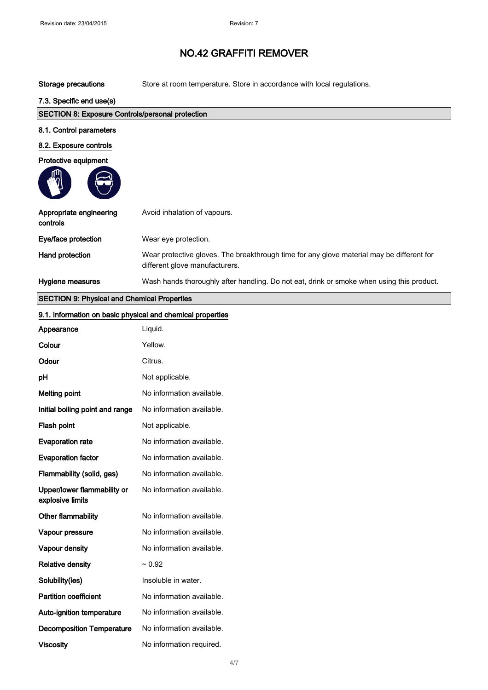## Storage precautions Store at room temperature. Store in accordance with local regulations.

# 7.3. Specific end use(s)

| <b>SECTION 8: Exposure Controls/personal protection</b> |                                                                                                                             |
|---------------------------------------------------------|-----------------------------------------------------------------------------------------------------------------------------|
| 8.1. Control parameters                                 |                                                                                                                             |
| 8.2. Exposure controls                                  |                                                                                                                             |
| Protective equipment                                    |                                                                                                                             |
| Appropriate engineering<br>controls                     | Avoid inhalation of vapours.                                                                                                |
| Eye/face protection                                     | Wear eye protection.                                                                                                        |
| Hand protection                                         | Wear protective gloves. The breakthrough time for any glove material may be different for<br>different glove manufacturers. |
| Hygiene measures                                        | Wash hands thoroughly after handling. Do not eat, drink or smoke when using this product.                                   |

# SECTION 9: Physical and Chemical Properties

| 9.1. Information on basic physical and chemical properties |                           |
|------------------------------------------------------------|---------------------------|
| Appearance                                                 | Liquid.                   |
| Colour                                                     | Yellow.                   |
| Odour                                                      | Citrus.                   |
| pH                                                         | Not applicable.           |
| <b>Melting point</b>                                       | No information available. |
| Initial boiling point and range                            | No information available. |
| Flash point                                                | Not applicable.           |
| <b>Evaporation rate</b>                                    | No information available. |
| <b>Evaporation factor</b>                                  | No information available. |
| Flammability (solid, gas)                                  | No information available. |
| Upper/lower flammability or<br>explosive limits            | No information available. |
| Other flammability                                         | No information available. |
| Vapour pressure                                            | No information available. |
| Vapour density                                             | No information available. |
| <b>Relative density</b>                                    | $~1$ 0.92                 |
| Solubility(ies)                                            | Insoluble in water.       |
| <b>Partition coefficient</b>                               | No information available. |
| Auto-ignition temperature                                  | No information available. |
| <b>Decomposition Temperature</b>                           | No information available. |
| <b>Viscosity</b>                                           | No information required.  |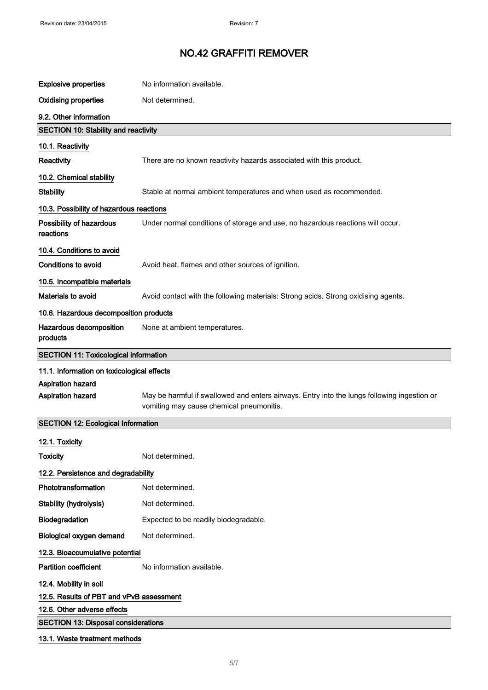| <b>Explosive properties</b>                  | No information available.                                                                                                               |  |
|----------------------------------------------|-----------------------------------------------------------------------------------------------------------------------------------------|--|
| <b>Oxidising properties</b>                  | Not determined.                                                                                                                         |  |
| 9.2. Other information                       |                                                                                                                                         |  |
| <b>SECTION 10: Stability and reactivity</b>  |                                                                                                                                         |  |
| 10.1. Reactivity                             |                                                                                                                                         |  |
| Reactivity                                   | There are no known reactivity hazards associated with this product.                                                                     |  |
| 10.2. Chemical stability                     |                                                                                                                                         |  |
| <b>Stability</b>                             | Stable at normal ambient temperatures and when used as recommended.                                                                     |  |
| 10.3. Possibility of hazardous reactions     |                                                                                                                                         |  |
| Possibility of hazardous<br>reactions        | Under normal conditions of storage and use, no hazardous reactions will occur.                                                          |  |
| 10.4. Conditions to avoid                    |                                                                                                                                         |  |
| <b>Conditions to avoid</b>                   | Avoid heat, flames and other sources of ignition.                                                                                       |  |
| 10.5. Incompatible materials                 |                                                                                                                                         |  |
| Materials to avoid                           | Avoid contact with the following materials: Strong acids. Strong oxidising agents.                                                      |  |
| 10.6. Hazardous decomposition products       |                                                                                                                                         |  |
| Hazardous decomposition<br>products          | None at ambient temperatures.                                                                                                           |  |
| <b>SECTION 11: Toxicological information</b> |                                                                                                                                         |  |
| 11.1. Information on toxicological effects   |                                                                                                                                         |  |
| <b>Aspiration hazard</b>                     |                                                                                                                                         |  |
| Aspiration hazard                            | May be harmful if swallowed and enters airways. Entry into the lungs following ingestion or<br>vomiting may cause chemical pneumonitis. |  |
| <b>SECTION 12: Ecological Information</b>    |                                                                                                                                         |  |
| 12.1. Toxicity                               |                                                                                                                                         |  |
| <b>Toxicity</b>                              | Not determined.                                                                                                                         |  |
| 12.2. Persistence and degradability          |                                                                                                                                         |  |
| Phototransformation                          | Not determined.                                                                                                                         |  |
| Stability (hydrolysis)                       | Not determined.                                                                                                                         |  |
| Biodegradation                               | Expected to be readily biodegradable.                                                                                                   |  |
| <b>Biological oxygen demand</b>              | Not determined.                                                                                                                         |  |
| 12.3. Bioaccumulative potential              |                                                                                                                                         |  |
| <b>Partition coefficient</b>                 | No information available.                                                                                                               |  |
| 12.4. Mobility in soil                       |                                                                                                                                         |  |
| 12.5. Results of PBT and vPvB assessment     |                                                                                                                                         |  |
| 12.6. Other adverse effects                  |                                                                                                                                         |  |
| <b>SECTION 13: Disposal considerations</b>   |                                                                                                                                         |  |
| 13.1. Waste treatment methods                |                                                                                                                                         |  |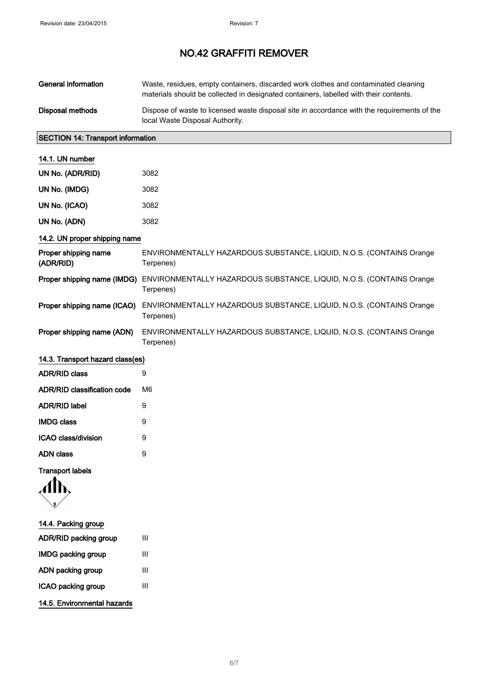| <b>General information</b>               | Waste, residues, empty containers, discarded work clothes and contaminated cleaning<br>materials should be collected in designated containers, labelled with their contents. |  |
|------------------------------------------|------------------------------------------------------------------------------------------------------------------------------------------------------------------------------|--|
| <b>Disposal methods</b>                  | Dispose of waste to licensed waste disposal site in accordance with the requirements of the<br>local Waste Disposal Authority.                                               |  |
| <b>SECTION 14: Transport information</b> |                                                                                                                                                                              |  |
| 14.1. UN number                          |                                                                                                                                                                              |  |
| UN No. (ADR/RID)                         | 3082                                                                                                                                                                         |  |
| UN No. (IMDG)                            | 3082                                                                                                                                                                         |  |
| UN No. (ICAO)                            | 3082                                                                                                                                                                         |  |
| UN No. (ADN)                             | 3082                                                                                                                                                                         |  |
| 14.2. UN proper shipping name            |                                                                                                                                                                              |  |
| Proper shipping name<br>(ADR/RID)        | ENVIRONMENTALLY HAZARDOUS SUBSTANCE, LIQUID, N.O.S. (CONTAINS Orange<br>Terpenes)                                                                                            |  |
| Proper shipping name (IMDG)              | ENVIRONMENTALLY HAZARDOUS SUBSTANCE, LIQUID, N.O.S. (CONTAINS Orange<br>Terpenes)                                                                                            |  |
| Proper shipping name (ICAO)              | ENVIRONMENTALLY HAZARDOUS SUBSTANCE, LIQUID, N.O.S. (CONTAINS Orange<br>Terpenes)                                                                                            |  |
| Proper shipping name (ADN)               | ENVIRONMENTALLY HAZARDOUS SUBSTANCE, LIQUID, N.O.S. (CONTAINS Orange<br>Terpenes)                                                                                            |  |

# 14.3. Transport hazard class(es)

| ADR/RID class               | я  |
|-----------------------------|----|
| ADR/RID classification code | M6 |
| ADR/RID label               | 9  |
| IMDG class                  | 9  |
| ICAO class/division         | 9  |
| ADN class                   | g  |

Transport labels



# 14.4. Packing group

| ADR/RID packing group       | Ш |
|-----------------------------|---|
| <b>IMDG packing group</b>   | Ш |
| ADN packing group           | Ш |
| ICAO packing group          | Ш |
| 14.5. Environmental hazards |   |